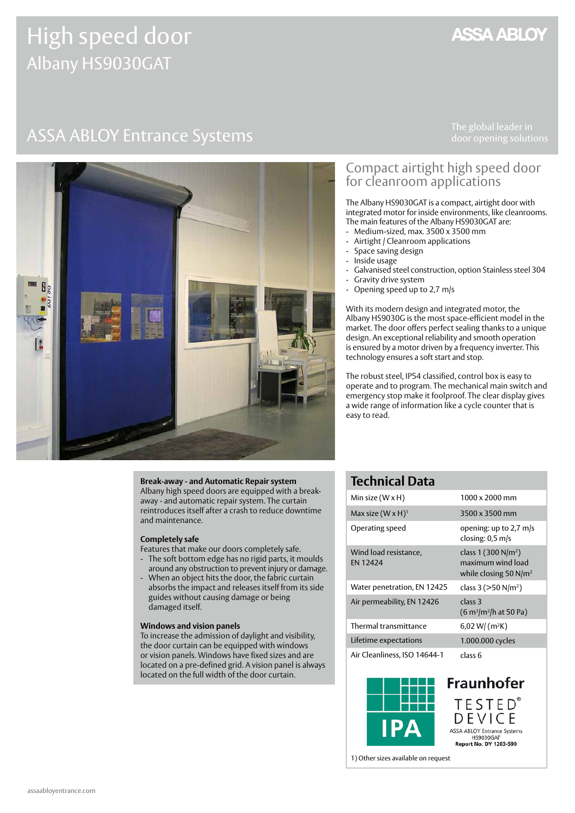# High speed door Albany HS9030GAT

## **ASSA ABLOY**

# ASSA ABLOY Entrance Systems The global leader in



### Compact airtight high speed door for cleanroom applications

The Albany HS9030GAT is a compact, airtight door with integrated motor for inside environments, like cleanrooms. The main features of the Albany HS9030GAT are:

- Medium-sized, max. 3500 x 3500 mm
- Airtight / Cleanroom applications
- Space saving design - Inside usage
- Galvanised steel construction, option Stainless steel 304
- Gravity drive system
- Opening speed up to 2,7 m/s

With its modern design and integrated motor, the Albany HS9030G is the most space-efficient model in the market. The door offers perfect sealing thanks to a unique design. An exceptional reliability and smooth operation is ensured by a motor driven by a frequency inverter. This technology ensures a soft start and stop.

The robust steel, IP54 classified, control box is easy to operate and to program. The mechanical main switch and emergency stop make it foolproof. The clear display gives a wide range of information like a cycle counter that is easy to read.

#### **Break-away - and Automatic Repair system**

Albany high speed doors are equipped with a breakaway - and automatic repair system. The curtain reintroduces itself after a crash to reduce downtime and maintenance.

#### **Completely safe**

Features that make our doors completely safe.

- The soft bottom edge has no rigid parts, it moulds around any obstruction to prevent injury or damage.
- When an object hits the door, the fabric curtain absorbs the impact and releases itself from its side guides without causing damage or being damaged itself.

#### **Windows and vision panels**

To increase the admission of daylight and visibility, the door curtain can be equipped with windows or vision panels. Windows have fixed sizes and are located on a pre-defined grid. A vision panel is always located on the full width of the door curtain.

### **Technical Data**

| Min size $(W \times H)$                  | 1000 x 2000 mm                                                                   |
|------------------------------------------|----------------------------------------------------------------------------------|
| Max size $(W \times H)^1$                | 3500 x 3500 mm                                                                   |
| Operating speed                          | opening: up to 2,7 m/s<br>closing: $0.5$ m/s                                     |
| Wind load resistance,<br><b>EN 12424</b> | class 1 (300 N/m <sup>2</sup> )<br>maximum wind load<br>while closing 50 $N/m^2$ |
| Water penetration, EN 12425              | class 3 ( $>50$ N/m <sup>2</sup> )                                               |
| Air permeability, EN 12426               | class 3<br>$(6 m3/m2/h at 50 Pa)$                                                |
| Thermal transmittance                    | $6,02$ W/ (m <sup>2</sup> K)                                                     |
| Lifetime expectations                    | 1.000.000 cycles                                                                 |
| Air Cleanliness, ISO 14644-1             | class 6                                                                          |



**Fraunhofer** TESTED<sup>®</sup><br>DEVICE ASSA ABLOY Entrance Systems HS9030GAT<br>HS9030GAT<br>Report No. DY 1203-590

1) Other sizes available on request